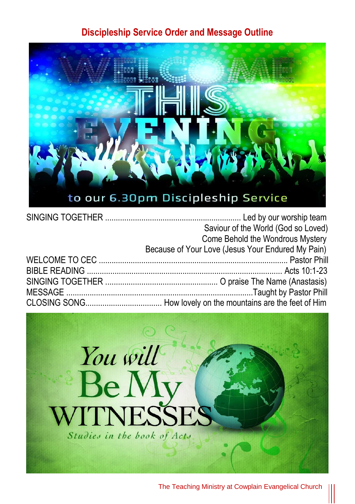## **Discipleship Service Order and Message Outline**



| Saviour of the World (God so Loved)               |
|---------------------------------------------------|
| Come Behold the Wondrous Mystery                  |
| Because of Your Love (Jesus Your Endured My Pain) |
|                                                   |
|                                                   |
|                                                   |
|                                                   |
|                                                   |



The Teaching Ministry at Cowplain Evangelical Church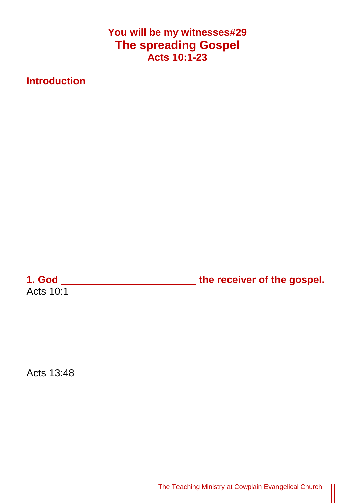**You will be my witnesses#29 The spreading Gospel Acts 10:1-23**

**Introduction**

Acts  $10:1$ 

**1. God \_\_\_\_\_\_\_\_\_\_\_\_\_\_\_\_\_\_\_\_\_\_\_\_ the receiver of the gospel.**

Acts 13:48

The Teaching Ministry at Cowplain Evangelical Church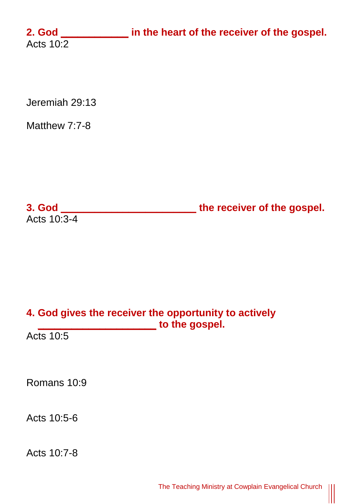**2. God \_\_\_\_\_\_\_\_\_\_\_\_ in the heart of the receiver of the gospel.** Acts  $10:2$ 

Jeremiah 29:13

Matthew 7:7-8

**3. God \_\_\_\_\_\_\_\_\_\_\_\_\_\_\_\_\_\_\_\_\_\_\_\_ the receiver of the gospel.** Acts 10:3-4

## **4. God gives the receiver the opportunity to actively \_\_\_\_\_\_\_\_\_\_\_\_\_\_\_\_\_\_\_\_\_ to the gospel.**

Acts 10:5

Romans 10:9

Acts 10:5-6

Acts 10:7-8

|||